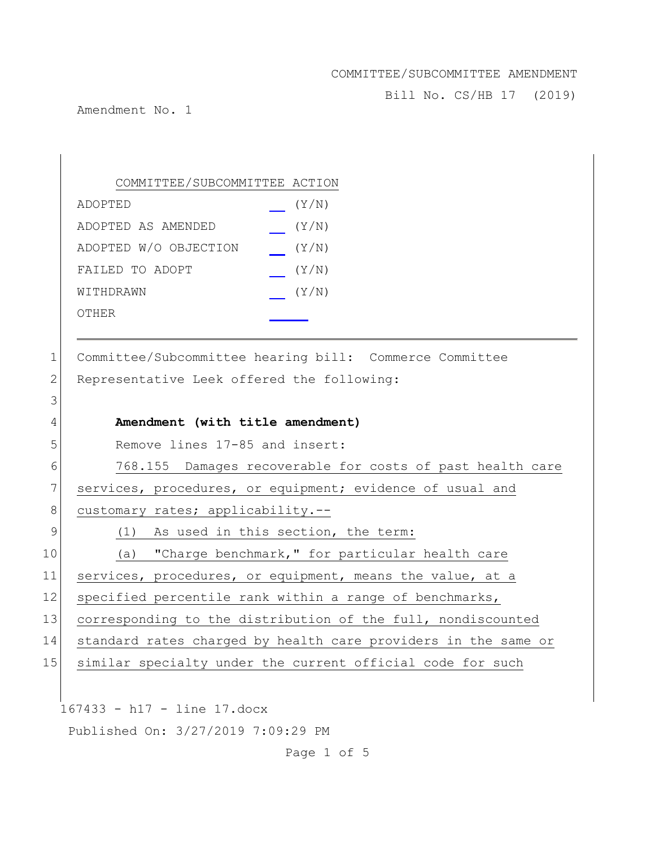Bill No. CS/HB 17 (2019)

Amendment No. 1

|    | COMMITTEE/SUBCOMMITTEE ACTION                                  |
|----|----------------------------------------------------------------|
|    | (Y/N)<br>ADOPTED                                               |
|    | (Y/N)<br>ADOPTED AS AMENDED                                    |
|    | ADOPTED W/O OBJECTION<br>(Y/N)                                 |
|    | FAILED TO ADOPT<br>(Y/N)                                       |
|    | (Y/N)<br>WITHDRAWN                                             |
|    | OTHER                                                          |
|    |                                                                |
| 1  | Committee/Subcommittee hearing bill: Commerce Committee        |
| 2  | Representative Leek offered the following:                     |
| 3  |                                                                |
| 4  | Amendment (with title amendment)                               |
| 5  | Remove lines 17-85 and insert:                                 |
| 6  | 768.155 Damages recoverable for costs of past health care      |
| 7  | services, procedures, or equipment; evidence of usual and      |
| 8  | customary rates; applicability.--                              |
| 9  | (1) As used in this section, the term:                         |
| 10 | (a) "Charge benchmark," for particular health care             |
| 11 | services, procedures, or equipment, means the value, at a      |
| 12 | specified percentile rank within a range of benchmarks,        |
| 13 | corresponding to the distribution of the full, nondiscounted   |
| 14 | standard rates charged by health care providers in the same or |
| 15 | similar specialty under the current official code for such     |
|    |                                                                |
|    | 167433 - h17 - line 17.docx                                    |
|    | Published On: 3/27/2019 7:09:29 PM                             |

Page 1 of 5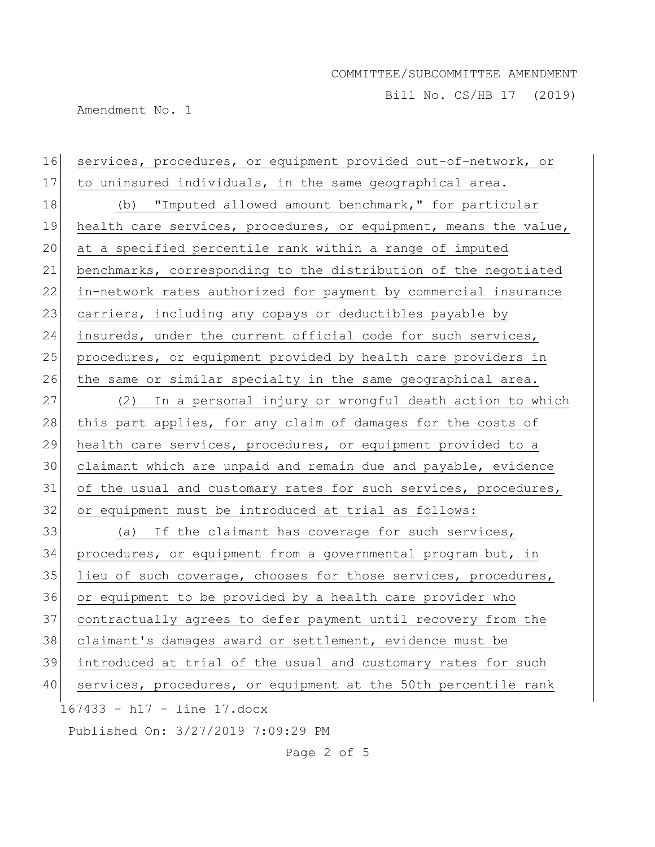Bill No. CS/HB 17 (2019)

Amendment No. 1

167433 - h17 - line 17.docx Published On: 3/27/2019 7:09:29 PM 16 services, procedures, or equipment provided out-of-network, or 17 to uninsured individuals, in the same geographical area. 18 (b) "Imputed allowed amount benchmark," for particular 19 health care services, procedures, or equipment, means the value, 20 at a specified percentile rank within a range of imputed 21 benchmarks, corresponding to the distribution of the negotiated 22 in-network rates authorized for payment by commercial insurance 23 carriers, including any copays or deductibles payable by 24 insureds, under the current official code for such services, 25 procedures, or equipment provided by health care providers in 26 the same or similar specialty in the same geographical area. 27 (2) In a personal injury or wrongful death action to which 28 this part applies, for any claim of damages for the costs of 29 health care services, procedures, or equipment provided to a 30 claimant which are unpaid and remain due and payable, evidence 31 of the usual and customary rates for such services, procedures, 32 or equipment must be introduced at trial as follows: 33 (a) If the claimant has coverage for such services, 34 procedures, or equipment from a governmental program but, in 35 lieu of such coverage, chooses for those services, procedures, 36 or equipment to be provided by a health care provider who 37 contractually agrees to defer payment until recovery from the 38 claimant's damages award or settlement, evidence must be 39 introduced at trial of the usual and customary rates for such 40 services, procedures, or equipment at the 50th percentile rank

Page 2 of 5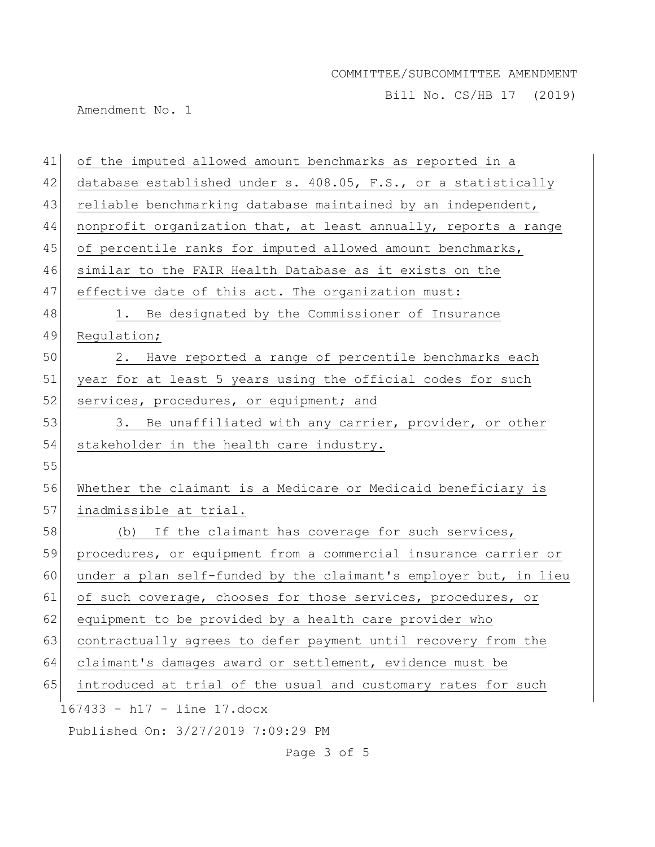Bill No. CS/HB 17 (2019)

Amendment No. 1

| 41 | of the imputed allowed amount benchmarks as reported in a        |
|----|------------------------------------------------------------------|
| 42 | database established under s. 408.05, F.S., or a statistically   |
| 43 | reliable benchmarking database maintained by an independent,     |
| 44 | nonprofit organization that, at least annually, reports a range  |
| 45 | of percentile ranks for imputed allowed amount benchmarks,       |
| 46 | similar to the FAIR Health Database as it exists on the          |
| 47 | effective date of this act. The organization must:               |
| 48 | 1. Be designated by the Commissioner of Insurance                |
| 49 | Regulation;                                                      |
| 50 | Have reported a range of percentile benchmarks each<br>2.        |
| 51 | year for at least 5 years using the official codes for such      |
| 52 | services, procedures, or equipment; and                          |
| 53 | Be unaffiliated with any carrier, provider, or other<br>3.       |
| 54 | stakeholder in the health care industry.                         |
| 55 |                                                                  |
| 56 | Whether the claimant is a Medicare or Medicaid beneficiary is    |
| 57 | inadmissible at trial.                                           |
| 58 | (b) If the claimant has coverage for such services,              |
| 59 | procedures, or equipment from a commercial insurance carrier or  |
| 60 | under a plan self-funded by the claimant's employer but, in lieu |
| 61 | of such coverage, chooses for those services, procedures, or     |
| 62 | equipment to be provided by a health care provider who           |
| 63 | contractually agrees to defer payment until recovery from the    |
| 64 | claimant's damages award or settlement, evidence must be         |
| 65 | introduced at trial of the usual and customary rates for such    |
|    | 167433 - h17 - line 17.docx                                      |
|    | Published On: 3/27/2019 7:09:29 PM                               |

Page 3 of 5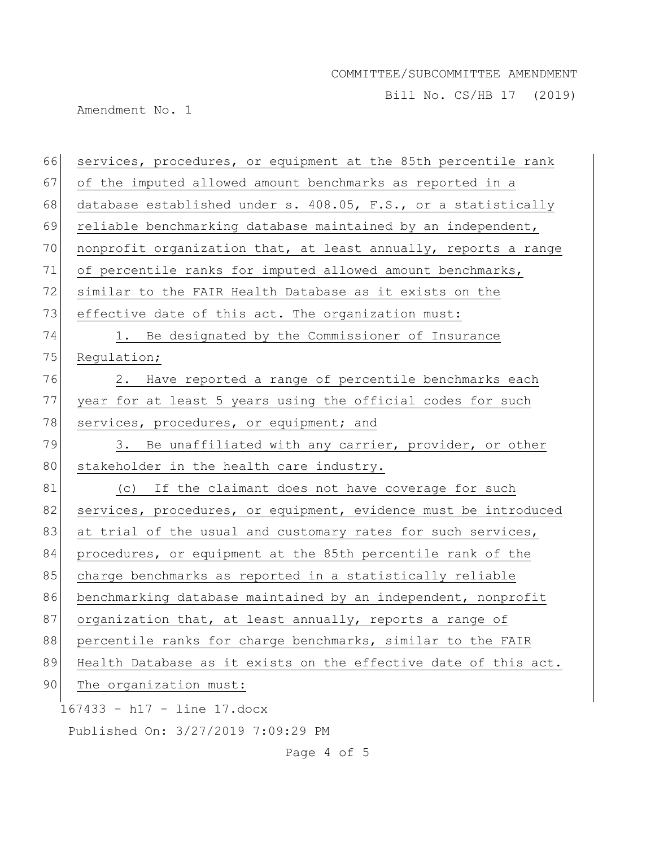Bill No. CS/HB 17 (2019)

Amendment No. 1

| 66 | services, procedures, or equipment at the 85th percentile rank  |
|----|-----------------------------------------------------------------|
| 67 | of the imputed allowed amount benchmarks as reported in a       |
| 68 | database established under s. 408.05, F.S., or a statistically  |
| 69 | reliable benchmarking database maintained by an independent,    |
| 70 | nonprofit organization that, at least annually, reports a range |
| 71 | of percentile ranks for imputed allowed amount benchmarks,      |
| 72 | similar to the FAIR Health Database as it exists on the         |
| 73 | effective date of this act. The organization must:              |
| 74 | 1. Be designated by the Commissioner of Insurance               |
| 75 | Regulation;                                                     |
| 76 | 2. Have reported a range of percentile benchmarks each          |
| 77 | year for at least 5 years using the official codes for such     |
| 78 | services, procedures, or equipment; and                         |
| 79 | 3. Be unaffiliated with any carrier, provider, or other         |
| 80 | stakeholder in the health care industry.                        |
| 81 | (c) If the claimant does not have coverage for such             |
| 82 | services, procedures, or equipment, evidence must be introduced |
| 83 | at trial of the usual and customary rates for such services,    |
| 84 | procedures, or equipment at the 85th percentile rank of the     |
| 85 | charge benchmarks as reported in a statistically reliable       |
| 86 | benchmarking database maintained by an independent, nonprofit   |
| 87 | organization that, at least annually, reports a range of        |
| 88 | percentile ranks for charge benchmarks, similar to the FAIR     |
| 89 | Health Database as it exists on the effective date of this act. |
| 90 | The organization must:                                          |
|    | 167433 - h17 - line 17.docx                                     |
|    | Published On: 3/27/2019 7:09:29 PM                              |